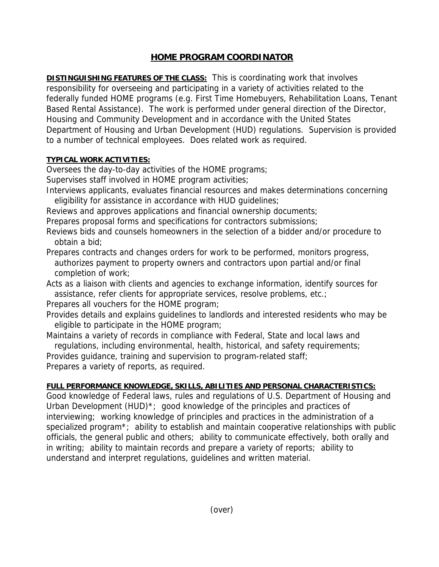## **HOME PROGRAM COORDINATOR**

**DISTINGUISHING FEATURES OF THE CLASS:** This is coordinating work that involves responsibility for overseeing and participating in a variety of activities related to the federally funded HOME programs (e.g. First Time Homebuyers, Rehabilitation Loans, Tenant Based Rental Assistance). The work is performed under general direction of the Director, Housing and Community Development and in accordance with the United States Department of Housing and Urban Development (HUD) regulations. Supervision is provided to a number of technical employees. Does related work as required.

## **TYPICAL WORK ACTIVITIES:**

Oversees the day-to-day activities of the HOME programs;

Supervises staff involved in HOME program activities;

Interviews applicants, evaluates financial resources and makes determinations concerning eligibility for assistance in accordance with HUD guidelines;

Reviews and approves applications and financial ownership documents;

Prepares proposal forms and specifications for contractors submissions;

Reviews bids and counsels homeowners in the selection of a bidder and/or procedure to obtain a bid;

Prepares contracts and changes orders for work to be performed, monitors progress, authorizes payment to property owners and contractors upon partial and/or final completion of work;

Acts as a liaison with clients and agencies to exchange information, identify sources for assistance, refer clients for appropriate services, resolve problems, etc.;

Prepares all vouchers for the HOME program;

Provides details and explains guidelines to landlords and interested residents who may be eligible to participate in the HOME program;

Maintains a variety of records in compliance with Federal, State and local laws and regulations, including environmental, health, historical, and safety requirements; Provides guidance, training and supervision to program-related staff; Prepares a variety of reports, as required.

## **FULL PERFORMANCE KNOWLEDGE, SKILLS, ABILITIES AND PERSONAL CHARACTERISTICS:**

Good knowledge of Federal laws, rules and regulations of U.S. Department of Housing and Urban Development (HUD)\*; good knowledge of the principles and practices of interviewing; working knowledge of principles and practices in the administration of a specialized program\*; ability to establish and maintain cooperative relationships with public officials, the general public and others; ability to communicate effectively, both orally and in writing; ability to maintain records and prepare a variety of reports; ability to understand and interpret regulations, guidelines and written material.